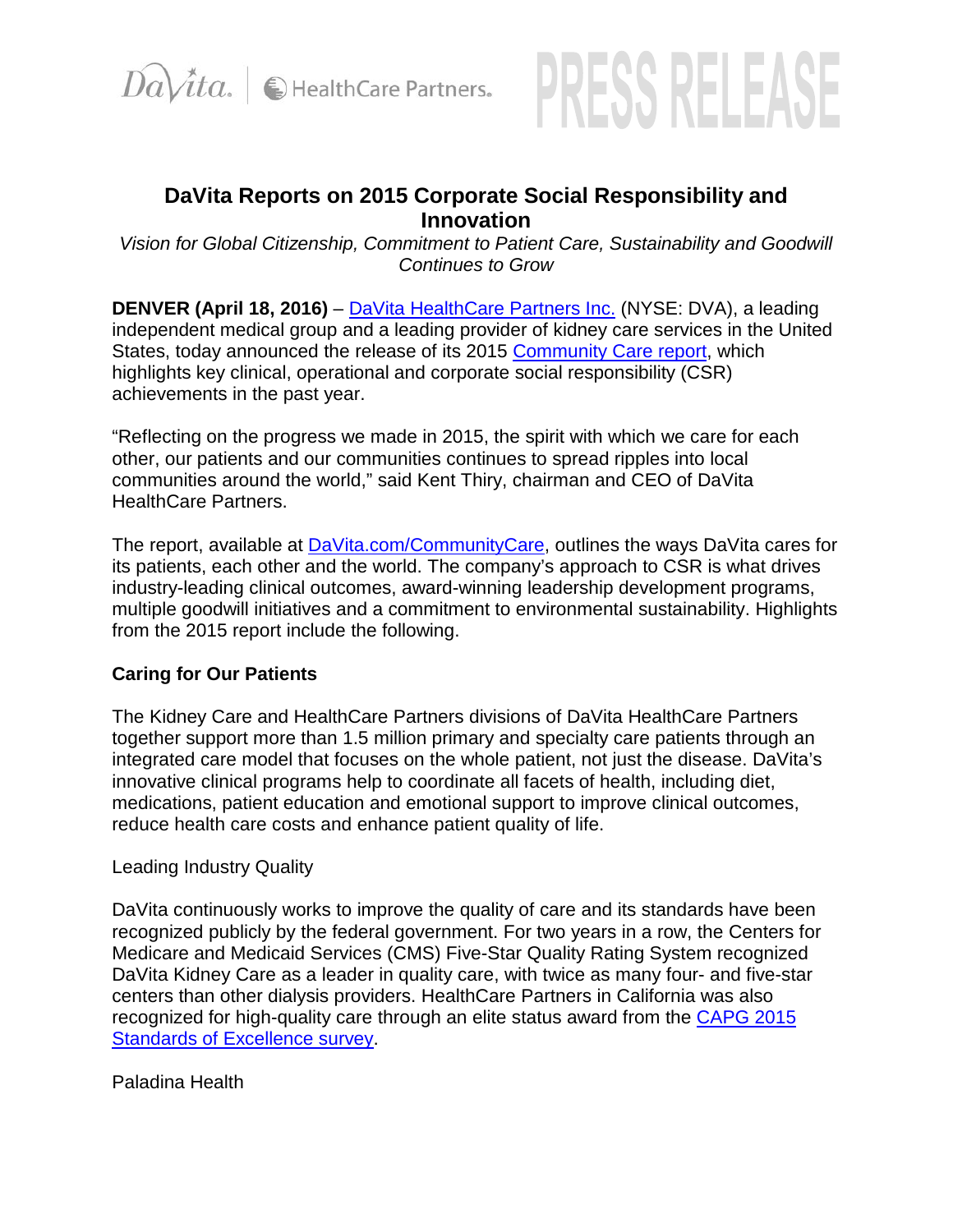



# **DaVita Reports on 2015 Corporate Social Responsibility and Innovation**

*Vision for Global Citizenship, Commitment to Patient Care, Sustainability and Goodwill Continues to Grow*

**DENVER (April 18, 2016)** – [DaVita HealthCare Partners Inc.](http://davitahealthcarepartners.com/) (NYSE: DVA), a leading independent medical group and a leading provider of kidney care services in the United States, today announced the release of its 2015 [Community Care report,](http://www.davita.com/communitycare) which highlights key clinical, operational and corporate social responsibility (CSR) achievements in the past year.

"Reflecting on the progress we made in 2015, the spirit with which we care for each other, our patients and our communities continues to spread ripples into local communities around the world," said Kent Thiry, chairman and CEO of DaVita HealthCare Partners.

The report, available at [DaVita.com/CommunityCare,](http://www.davita.com/CommunityCare) outlines the ways DaVita cares for its patients, each other and the world. The company's approach to CSR is what drives industry-leading clinical outcomes, award-winning leadership development programs, multiple goodwill initiatives and a commitment to environmental sustainability. Highlights from the 2015 report include the following.

### **Caring for Our Patients**

The Kidney Care and HealthCare Partners divisions of DaVita HealthCare Partners together support more than 1.5 million primary and specialty care patients through an integrated care model that focuses on the whole patient, not just the disease. DaVita's innovative clinical programs help to coordinate all facets of health, including diet, medications, patient education and emotional support to improve clinical outcomes, reduce health care costs and enhance patient quality of life.

### Leading Industry Quality

DaVita continuously works to improve the quality of care and its standards have been recognized publicly by the federal government. For two years in a row, the Centers for Medicare and Medicaid Services (CMS) Five-Star Quality Rating System recognized DaVita Kidney Care as a leader in quality care, with twice as many four- and five-star centers than other dialysis providers. HealthCare Partners in California was also recognized for high-quality care through an elite status award from the [CAPG 2015](http://www.capg.org/index.aspx?page=84)  [Standards of Excellence survey.](http://www.capg.org/index.aspx?page=84)

### Paladina Health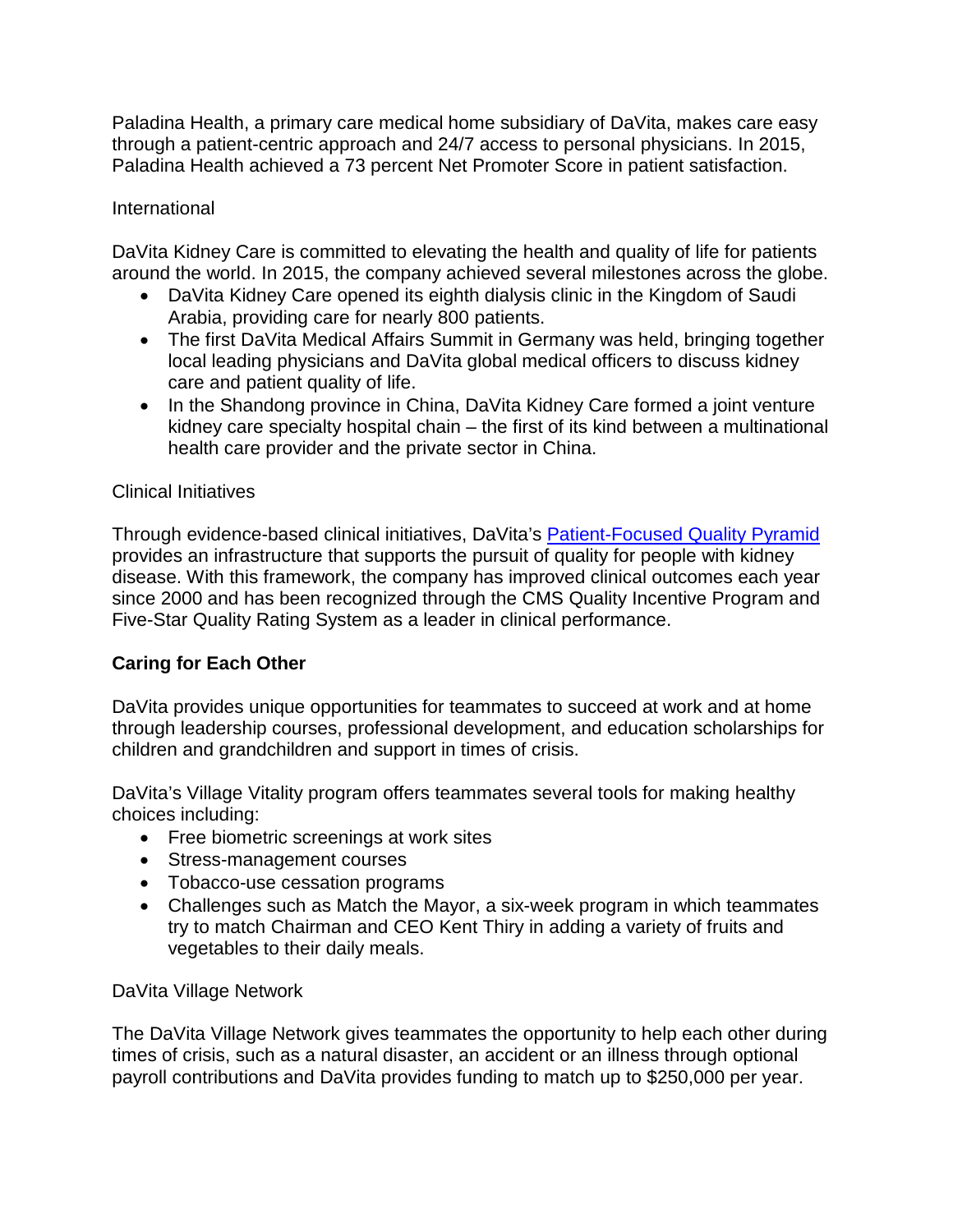Paladina Health, a primary care medical home subsidiary of DaVita, makes care easy through a patient-centric approach and 24/7 access to personal physicians. In 2015, Paladina Health achieved a 73 percent Net Promoter Score in patient satisfaction.

## International

DaVita Kidney Care is committed to elevating the health and quality of life for patients around the world. In 2015, the company achieved several milestones across the globe.

- DaVita Kidney Care opened its eighth dialysis clinic in the Kingdom of Saudi Arabia, providing care for nearly 800 patients.
- The first DaVita Medical Affairs Summit in Germany was held, bringing together local leading physicians and DaVita global medical officers to discuss kidney care and patient quality of life.
- In the Shandong province in China, DaVita Kidney Care formed a joint venture kidney care specialty hospital chain – the first of its kind between a multinational health care provider and the private sector in China.

## Clinical Initiatives

Through evidence-based clinical initiatives, DaVita's [Patient-Focused Quality Pyramid](https://www.davita.com/UploadedFiles/QOL_Pyramid_Large.pdf) provides an infrastructure that supports the pursuit of quality for people with kidney disease. With this framework, the company has improved clinical outcomes each year since 2000 and has been recognized through the CMS Quality Incentive Program and Five-Star Quality Rating System as a leader in clinical performance.

## **Caring for Each Other**

DaVita provides unique opportunities for teammates to succeed at work and at home through leadership courses, professional development, and education scholarships for children and grandchildren and support in times of crisis.

DaVita's Village Vitality program offers teammates several tools for making healthy choices including:

- Free biometric screenings at work sites
- Stress-management courses
- Tobacco-use cessation programs
- Challenges such as Match the Mayor, a six-week program in which teammates try to match Chairman and CEO Kent Thiry in adding a variety of fruits and vegetables to their daily meals.

DaVita Village Network

The DaVita Village Network gives teammates the opportunity to help each other during times of crisis, such as a natural disaster, an accident or an illness through optional payroll contributions and DaVita provides funding to match up to \$250,000 per year.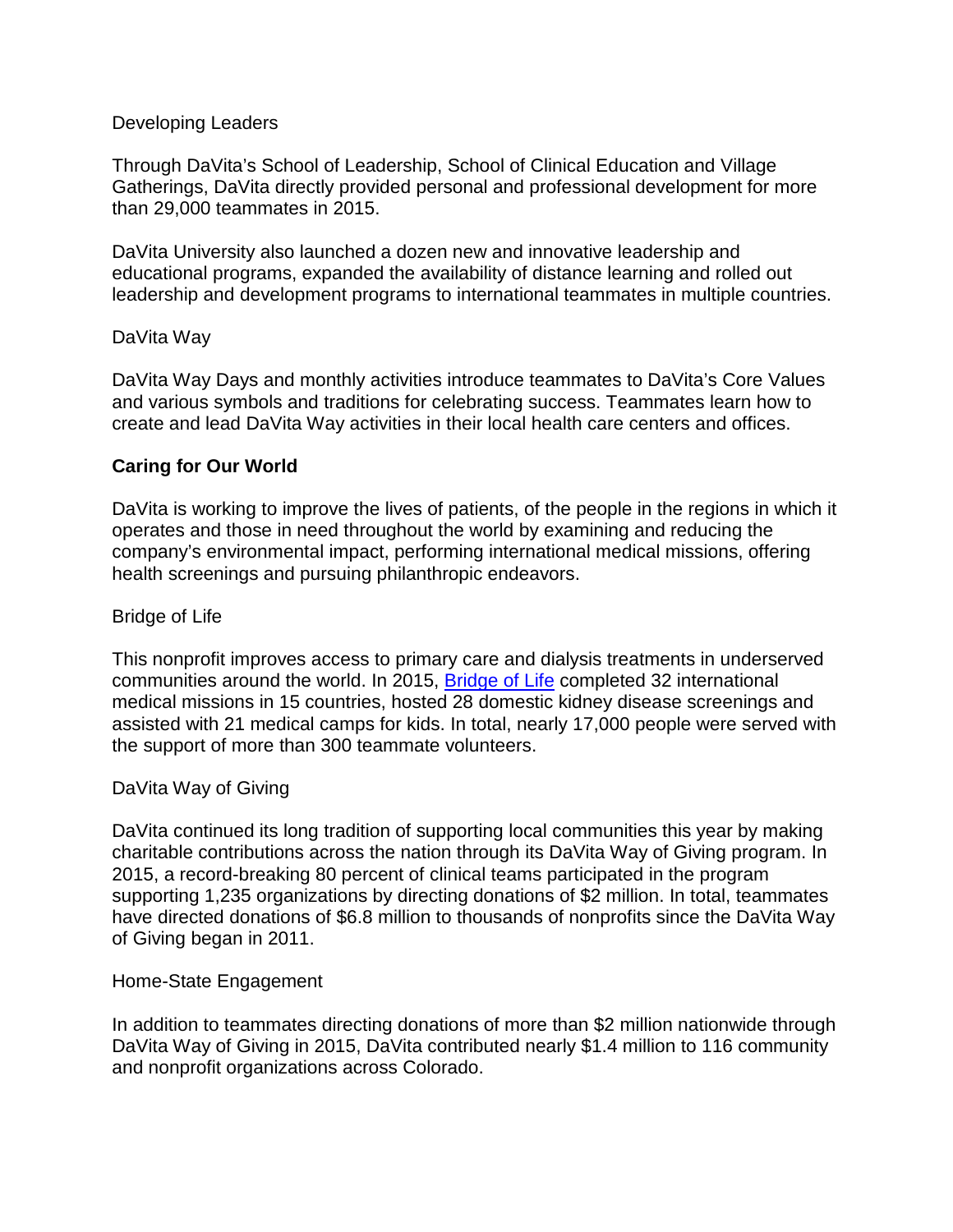#### Developing Leaders

Through DaVita's School of Leadership, School of Clinical Education and Village Gatherings, DaVita directly provided personal and professional development for more than 29,000 teammates in 2015.

DaVita University also launched a dozen new and innovative leadership and educational programs, expanded the availability of distance learning and rolled out leadership and development programs to international teammates in multiple countries.

#### DaVita Way

DaVita Way Days and monthly activities introduce teammates to DaVita's Core Values and various symbols and traditions for celebrating success. Teammates learn how to create and lead DaVita Way activities in their local health care centers and offices.

#### **Caring for Our World**

DaVita is working to improve the lives of patients, of the people in the regions in which it operates and those in need throughout the world by examining and reducing the company's environmental impact, performing international medical missions, offering health screenings and pursuing philanthropic endeavors.

#### Bridge of Life

This nonprofit improves access to primary care and dialysis treatments in underserved communities around the world. In 2015, **Bridge of Life** completed 32 international medical missions in 15 countries, hosted 28 domestic kidney disease screenings and assisted with 21 medical camps for kids. In total, nearly 17,000 people were served with the support of more than 300 teammate volunteers.

#### DaVita Way of Giving

DaVita continued its long tradition of supporting local communities this year by making charitable contributions across the nation through its DaVita Way of Giving program. In 2015, a record-breaking 80 percent of clinical teams participated in the program supporting 1,235 organizations by directing donations of \$2 million. In total, teammates have directed donations of \$6.8 million to thousands of nonprofits since the DaVita Way of Giving began in 2011.

#### Home-State Engagement

In addition to teammates directing donations of more than \$2 million nationwide through DaVita Way of Giving in 2015, DaVita contributed nearly \$1.4 million to 116 community and nonprofit organizations across Colorado.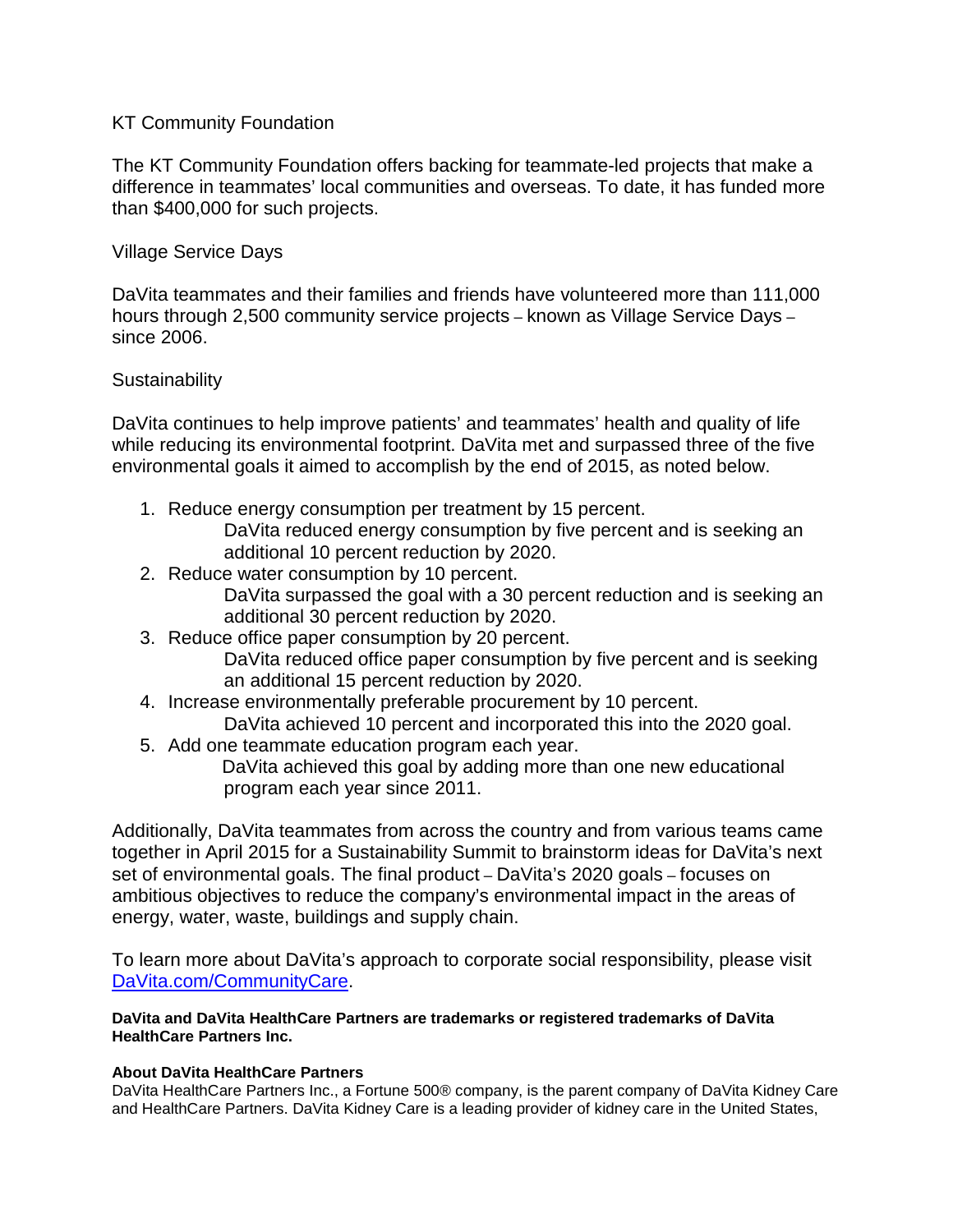#### KT Community Foundation

The KT Community Foundation offers backing for teammate-led projects that make a difference in teammates' local communities and overseas. To date, it has funded more than \$400,000 for such projects.

#### Village Service Days

DaVita teammates and their families and friends have volunteered more than 111,000 hours through 2,500 community service projects – known as Village Service Days – since 2006.

#### **Sustainability**

DaVita continues to help improve patients' and teammates' health and quality of life while reducing its environmental footprint. DaVita met and surpassed three of the five environmental goals it aimed to accomplish by the end of 2015, as noted below.

- 1. Reduce energy consumption per treatment by 15 percent. DaVita reduced energy consumption by five percent and is seeking an additional 10 percent reduction by 2020.
- 2. Reduce water consumption by 10 percent. DaVita surpassed the goal with a 30 percent reduction and is seeking an additional 30 percent reduction by 2020.
- 3. Reduce office paper consumption by 20 percent.
	- DaVita reduced office paper consumption by five percent and is seeking an additional 15 percent reduction by 2020.
- 4. Increase environmentally preferable procurement by 10 percent. DaVita achieved 10 percent and incorporated this into the 2020 goal.
- 5. Add one teammate education program each year.

 DaVita achieved this goal by adding more than one new educational program each year since 2011.

Additionally, DaVita teammates from across the country and from various teams came together in April 2015 for a Sustainability Summit to brainstorm ideas for DaVita's next set of environmental goals. The final product – DaVita's 2020 goals – focuses on ambitious objectives to reduce the company's environmental impact in the areas of energy, water, waste, buildings and supply chain.

To learn more about DaVita's approach to corporate social responsibility, please visit [DaVita.com/CommunityCare.](http://www.davita.com/community-care/?utm_source=EarnedMedia&utm_medium=PressRelease&utm_campaign=DigitalSupport)

#### **DaVita and DaVita HealthCare Partners are trademarks or registered trademarks of DaVita HealthCare Partners Inc.**

#### **About DaVita HealthCare Partners**

DaVita HealthCare Partners Inc., a Fortune 500® company, is the parent company of DaVita Kidney Care and HealthCare Partners. DaVita Kidney Care is a leading provider of kidney care in the United States,